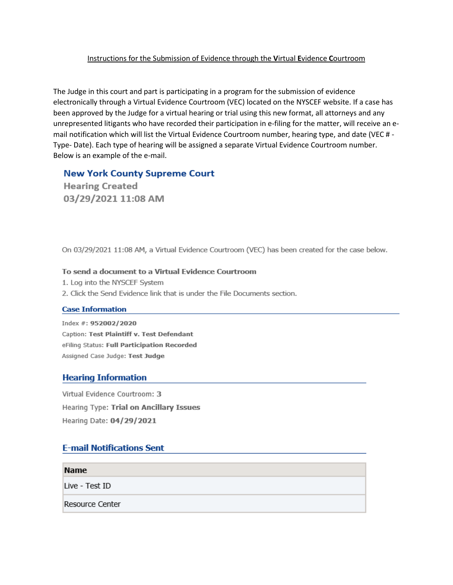### Instructions for the Submission of Evidence through the **V**irtual **E**vidence **C**ourtroom

The Judge in this court and part is participating in a program for the submission of evidence electronically through a Virtual Evidence Courtroom (VEC) located on the NYSCEF website. If a case has been approved by the Judge for a virtual hearing or trial using this new format, all attorneys and any unrepresented litigants who have recorded their participation in e-filing for the matter, will receive an email notification which will list the Virtual Evidence Courtroom number, hearing type, and date (VEC # - Type- Date). Each type of hearing will be assigned a separate Virtual Evidence Courtroom number. Below is an example of the e-mail.

## **New York County Supreme Court**

**Hearing Created** 03/29/2021 11:08 AM

On 03/29/2021 11:08 AM, a Virtual Evidence Courtroom (VEC) has been created for the case below.

#### To send a document to a Virtual Evidence Courtroom

- 1. Log into the NYSCEF System
- 2. Click the Send Evidence link that is under the File Documents section.

#### **Case Information**

Index #: 952002/2020 Caption: Test Plaintiff v. Test Defendant eFiling Status: Full Participation Recorded Assigned Case Judge: Test Judge

### **Hearing Information**

Virtual Evidence Courtroom: 3 Hearing Type: Trial on Ancillary Issues Hearing Date: 04/29/2021

# **E-mail Notifications Sent**

| <b>Name</b>     |  |
|-----------------|--|
| Live - Test ID  |  |
| Resource Center |  |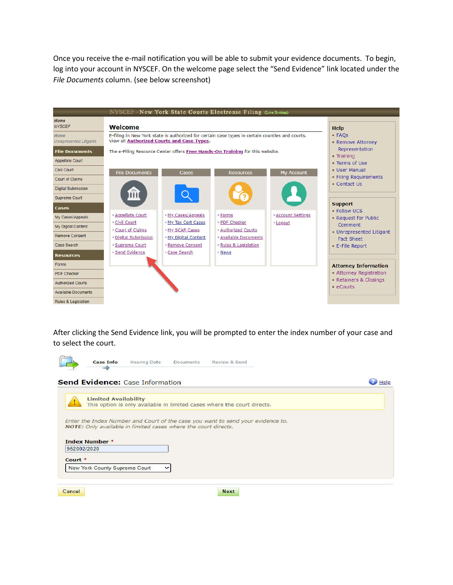Once you receive the e-mail notification you will be able to submit your evidence documents. To begin, log into your account in NYSCEF. On the welcome page select the "Send Evidence" link located under the *File Documents* column. (see below screenshot)



After clicking the Send Evidence link, you will be prompted to enter the index number of your case and to select the court.

|                                      | <b>Send Evidence: Case Information</b>                                                                                                            | Help |
|--------------------------------------|---------------------------------------------------------------------------------------------------------------------------------------------------|------|
| <b>Limited Availability</b>          | This option is only available in limited cases where the court directs.                                                                           |      |
|                                      |                                                                                                                                                   |      |
|                                      |                                                                                                                                                   |      |
|                                      | Enter the Index Number and Court of the case you want to send your evidence to.<br>NOTE: Only available in limited cases where the court directs. |      |
|                                      |                                                                                                                                                   |      |
| <b>Index Number *</b><br>952002/2020 |                                                                                                                                                   |      |
| Court <sup>*</sup>                   |                                                                                                                                                   |      |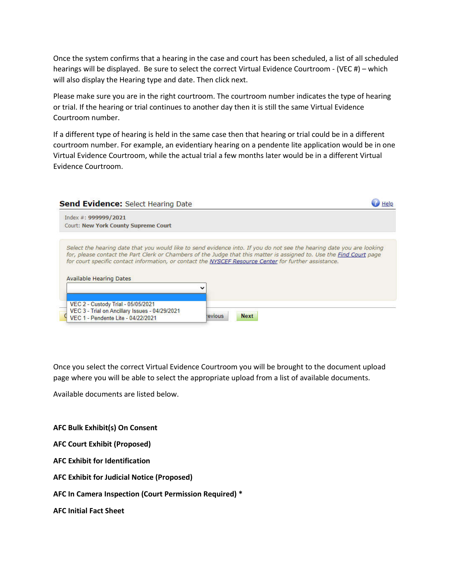Once the system confirms that a hearing in the case and court has been scheduled, a list of all scheduled hearings will be displayed. Be sure to select the correct Virtual Evidence Courtroom - (VEC #) – which will also display the Hearing type and date. Then click next.

Please make sure you are in the right courtroom. The courtroom number indicates the type of hearing or trial. If the hearing or trial continues to another day then it is still the same Virtual Evidence Courtroom number.

If a different type of hearing is held in the same case then that hearing or trial could be in a different courtroom number. For example, an evidentiary hearing on a pendente lite application would be in one Virtual Evidence Courtroom, while the actual trial a few months later would be in a different Virtual Evidence Courtroom.

| <b>Send Evidence: Select Hearing Date</b>                                                                                                                                                                                                                                                                                                              |
|--------------------------------------------------------------------------------------------------------------------------------------------------------------------------------------------------------------------------------------------------------------------------------------------------------------------------------------------------------|
|                                                                                                                                                                                                                                                                                                                                                        |
|                                                                                                                                                                                                                                                                                                                                                        |
| Select the hearing date that you would like to send evidence into. If you do not see the hearing date you are looking<br>for, please contact the Part Clerk or Chambers of the Judge that this matter is assigned to. Use the Find Court page<br>for court specific contact information, or contact the NYSCEF Resource Center for further assistance. |
|                                                                                                                                                                                                                                                                                                                                                        |
|                                                                                                                                                                                                                                                                                                                                                        |
|                                                                                                                                                                                                                                                                                                                                                        |

Once you select the correct Virtual Evidence Courtroom you will be brought to the document upload page where you will be able to select the appropriate upload from a list of available documents.

Available documents are listed below.

**AFC Bulk Exhibit(s) On Consent AFC Court Exhibit (Proposed) AFC Exhibit for Identification AFC Exhibit for Judicial Notice (Proposed) AFC In Camera Inspection (Court Permission Required) \***

**AFC Initial Fact Sheet**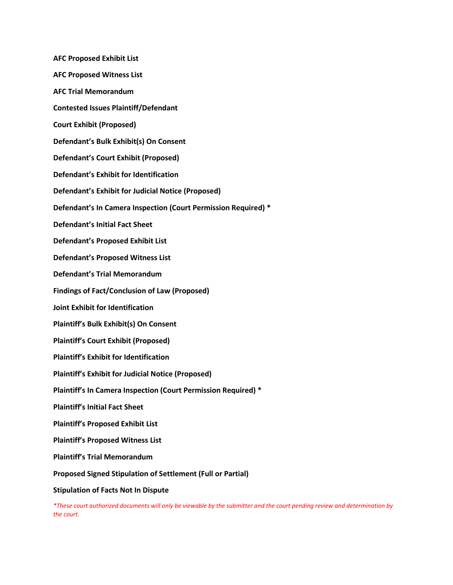**AFC Proposed Exhibit List AFC Proposed Witness List AFC Trial Memorandum Contested Issues Plaintiff/Defendant Court Exhibit (Proposed) Defendant's Bulk Exhibit(s) On Consent Defendant's Court Exhibit (Proposed) Defendant's Exhibit for Identification Defendant's Exhibit for Judicial Notice (Proposed) Defendant's In Camera Inspection (Court Permission Required) \* Defendant's Initial Fact Sheet Defendant's Proposed Exhibit List Defendant's Proposed Witness List Defendant's Trial Memorandum Findings of Fact/Conclusion of Law (Proposed) Joint Exhibit for Identification Plaintiff's Bulk Exhibit(s) On Consent Plaintiff's Court Exhibit (Proposed) Plaintiff's Exhibit for Identification Plaintiff's Exhibit for Judicial Notice (Proposed) Plaintiff's In Camera Inspection (Court Permission Required) \* Plaintiff's Initial Fact Sheet Plaintiff's Proposed Exhibit List Plaintiff's Proposed Witness List Plaintiff's Trial Memorandum Proposed Signed Stipulation of Settlement (Full or Partial)**

### **Stipulation of Facts Not In Dispute**

*\*These court authorized documents will only be viewable by the submitter and the court pending review and determination by the court.*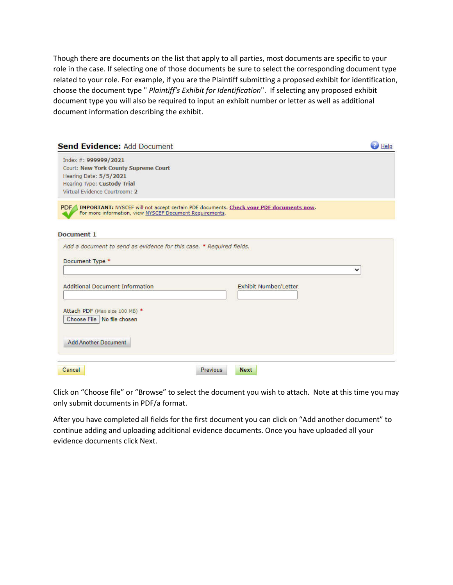Though there are documents on the list that apply to all parties, most documents are specific to your role in the case. If selecting one of those documents be sure to select the corresponding document type related to your role. For example, if you are the Plaintiff submitting a proposed exhibit for identification, choose the document type " *Plaintiff's Exhibit for Identification*". If selecting any proposed exhibit document type you will also be required to input an exhibit number or letter as well as additional document information describing the exhibit.

| <b>Send Evidence: Add Document</b>                                                                                                                                |                                | Help |
|-------------------------------------------------------------------------------------------------------------------------------------------------------------------|--------------------------------|------|
| Index #: 999999/2021                                                                                                                                              |                                |      |
| Court: New York County Supreme Court                                                                                                                              |                                |      |
| <b>Hearing Date: 5/5/2021</b>                                                                                                                                     |                                |      |
| <b>Hearing Type: Custody Trial</b>                                                                                                                                |                                |      |
| Virtual Evidence Courtroom: 2                                                                                                                                     |                                |      |
| <b>IMPORTANT:</b> NYSCEF will not accept certain PDF documents. Check your PDF documents now.<br>PDF.<br>For more information, view NYSCEF Document Requirements. |                                |      |
| <b>Document 1</b>                                                                                                                                                 |                                |      |
| Add a document to send as evidence for this case, * Required fields.                                                                                              |                                |      |
| Document Type *                                                                                                                                                   |                                |      |
|                                                                                                                                                                   |                                | v    |
| <b>Additional Document Information</b>                                                                                                                            | Exhibit Number/Letter          |      |
|                                                                                                                                                                   |                                |      |
| Attach PDF (Max size 100 MB) *                                                                                                                                    |                                |      |
| Choose File   No file chosen                                                                                                                                      |                                |      |
|                                                                                                                                                                   |                                |      |
|                                                                                                                                                                   |                                |      |
| <b>Add Another Document</b>                                                                                                                                       |                                |      |
|                                                                                                                                                                   |                                |      |
|                                                                                                                                                                   |                                |      |
| Cancel                                                                                                                                                            | <b>Previous</b><br><b>Next</b> |      |

Click on "Choose file" or "Browse" to select the document you wish to attach. Note at this time you may only submit documents in PDF/a format.

After you have completed all fields for the first document you can click on "Add another document" to continue adding and uploading additional evidence documents. Once you have uploaded all your evidence documents click Next.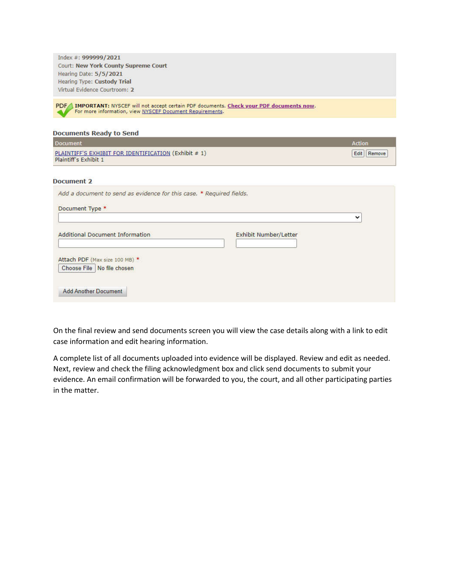| Index #: 999999/2021                                                                                                                                       |                              |                  |
|------------------------------------------------------------------------------------------------------------------------------------------------------------|------------------------------|------------------|
| Court: New York County Supreme Court                                                                                                                       |                              |                  |
| <b>Hearing Date: 5/5/2021</b>                                                                                                                              |                              |                  |
| <b>Hearing Type: Custody Trial</b>                                                                                                                         |                              |                  |
| Virtual Evidence Courtroom: 2                                                                                                                              |                              |                  |
| IMPORTANT: NYSCEF will not accept certain PDF documents. Check your PDF documents now.<br>PDF/<br>For more information, view NYSCEF Document Requirements. |                              |                  |
| <b>Documents Ready to Send</b>                                                                                                                             |                              |                  |
| <b>Document</b>                                                                                                                                            |                              | Action           |
| PLAINTIFF'S EXHIBIT FOR IDENTIFICATION (Exhibit # 1)                                                                                                       |                              | Edit  <br>Remove |
| Plaintiff's Exhibit 1                                                                                                                                      |                              |                  |
|                                                                                                                                                            |                              |                  |
| <b>Document 2</b>                                                                                                                                          |                              |                  |
| Add a document to send as evidence for this case. * Required fields.                                                                                       |                              |                  |
|                                                                                                                                                            |                              |                  |
| Document Type *                                                                                                                                            |                              | $\checkmark$     |
|                                                                                                                                                            |                              |                  |
| <b>Additional Document Information</b>                                                                                                                     | <b>Exhibit Number/Letter</b> |                  |
|                                                                                                                                                            |                              |                  |
|                                                                                                                                                            |                              |                  |
| Attach PDF (Max size 100 MB) *                                                                                                                             |                              |                  |
| Choose File   No file chosen                                                                                                                               |                              |                  |
|                                                                                                                                                            |                              |                  |
|                                                                                                                                                            |                              |                  |
| <b>Add Another Document</b>                                                                                                                                |                              |                  |

On the final review and send documents screen you will view the case details along with a link to edit case information and edit hearing information.

A complete list of all documents uploaded into evidence will be displayed. Review and edit as needed. Next, review and check the filing acknowledgment box and click send documents to submit your evidence. An email confirmation will be forwarded to you, the court, and all other participating parties in the matter.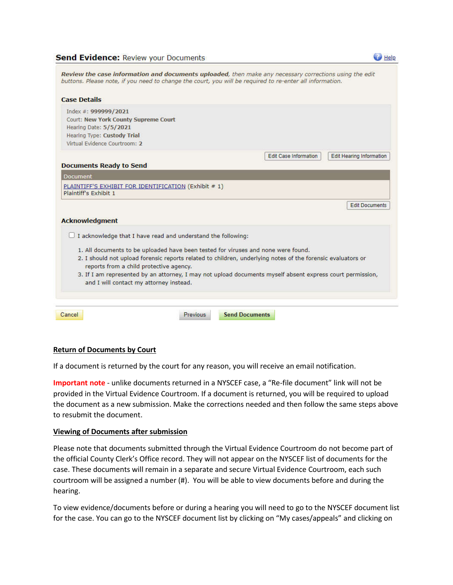### **Send Evidence: Review your Documents**



### **Return of Documents by Court**

If a document is returned by the court for any reason, you will receive an email notification.

**Important note** - unlike documents returned in a NYSCEF case, a "Re-file document" link will not be provided in the Virtual Evidence Courtroom. If a document is returned, you will be required to upload the document as a new submission. Make the corrections needed and then follow the same steps above to resubmit the document.

### **Viewing of Documents after submission**

Please note that documents submitted through the Virtual Evidence Courtroom do not become part of the official County Clerk's Office record. They will not appear on the NYSCEF list of documents for the case. These documents will remain in a separate and secure Virtual Evidence Courtroom, each such courtroom will be assigned a number (#). You will be able to view documents before and during the hearing.

To view evidence/documents before or during a hearing you will need to go to the NYSCEF document list for the case. You can go to the NYSCEF document list by clicking on "My cases/appeals" and clicking on

 $\bigoplus$  Help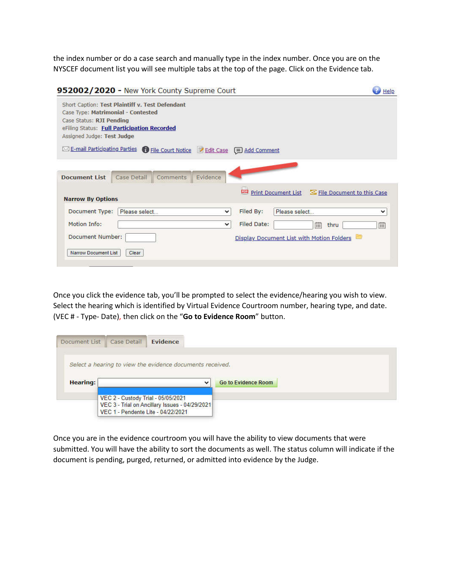the index number or do a case search and manually type in the index number. Once you are on the NYSCEF document list you will see multiple tabs at the top of the page. Click on the Evidence tab.

|                                                                                                                              | 952002/2020 - New York County Supreme Court                                                    |                                                                           |                                           | <b>Help</b>  |
|------------------------------------------------------------------------------------------------------------------------------|------------------------------------------------------------------------------------------------|---------------------------------------------------------------------------|-------------------------------------------|--------------|
| Case Type: Matrimonial - Contested<br>Case Status: RJI Pending<br>Assigned Judge: Test Judge<br>E-mail Participating Parties | Short Caption: Test Plaintiff v. Test Defendant<br>eFiling Status: Full Participation Recorded | <b><i>O</i></b> File Court Notice <b>Z</b> Edit Case <b>E</b> Add Comment |                                           |              |
|                                                                                                                              |                                                                                                |                                                                           |                                           |              |
| <b>Document List</b>                                                                                                         | Case Detail<br>Comments                                                                        | Evidence                                                                  |                                           |              |
| <b>Narrow By Options</b>                                                                                                     |                                                                                                |                                                                           |                                           |              |
| Document Type:                                                                                                               | Please select                                                                                  | Filed By:<br>v                                                            | Please select                             | $\checkmark$ |
| Motion Info:                                                                                                                 |                                                                                                | <b>Filed Date:</b><br>$\checkmark$                                        | 冊<br>thru                                 | 而            |
| <b>Document Number:</b>                                                                                                      |                                                                                                |                                                                           | Display Document List with Motion Folders |              |
| <b>Narrow Document List</b>                                                                                                  | Clear                                                                                          |                                                                           |                                           |              |
|                                                                                                                              |                                                                                                |                                                                           |                                           |              |

Once you click the evidence tab, you'll be prompted to select the evidence/hearing you wish to view. Select the hearing which is identified by Virtual Evidence Courtroom number, hearing type, and date. (VEC # - Type- Date), then click on the "**Go to Evidence Room**" button.

| Document List   | Case Detail                        | <b>Evidence</b>                                           |   |                            |  |  |
|-----------------|------------------------------------|-----------------------------------------------------------|---|----------------------------|--|--|
|                 |                                    | Select a hearing to view the evidence documents received. |   |                            |  |  |
| <b>Hearing:</b> |                                    |                                                           | ັ | <b>Go to Evidence Room</b> |  |  |
|                 | VEC 2 - Custody Trial - 05/05/2021 | VEC 3 - Trial on Ancillary Issues - 04/29/2021            |   |                            |  |  |

Once you are in the evidence courtroom you will have the ability to view documents that were submitted. You will have the ability to sort the documents as well. The status column will indicate if the document is pending, purged, returned, or admitted into evidence by the Judge.